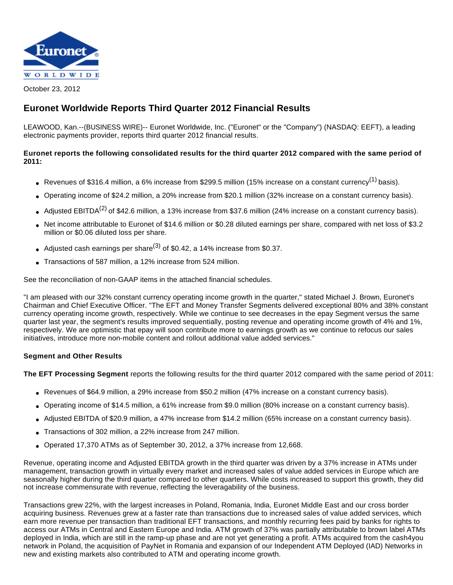

October 23, 2012

# **Euronet Worldwide Reports Third Quarter 2012 Financial Results**

LEAWOOD, Kan.--(BUSINESS WIRE)-- Euronet Worldwide, Inc. ("Euronet" or the "Company") (NASDAQ: EEFT), a leading electronic payments provider, reports third quarter 2012 financial results.

## **Euronet reports the following consolidated results for the third quarter 2012 compared with the same period of 2011:**

- Revenues of \$316.4 million, a 6% increase from \$299.5 million (15% increase on a constant currency<sup>(1)</sup> basis).
- Operating income of \$24.2 million, a 20% increase from \$20.1 million (32% increase on a constant currency basis).
- Adjusted EBITDA<sup>(2)</sup> of \$42.6 million, a 13% increase from \$37.6 million (24% increase on a constant currency basis).
- Net income attributable to Euronet of \$14.6 million or \$0.28 diluted earnings per share, compared with net loss of \$3.2 million or \$0.06 diluted loss per share.
- Adjusted cash earnings per share<sup>(3)</sup> of \$0.42, a 14% increase from \$0.37.
- Transactions of 587 million, a 12% increase from 524 million.

See the reconciliation of non-GAAP items in the attached financial schedules.

"I am pleased with our 32% constant currency operating income growth in the quarter," stated Michael J. Brown, Euronet's Chairman and Chief Executive Officer. "The EFT and Money Transfer Segments delivered exceptional 80% and 38% constant currency operating income growth, respectively. While we continue to see decreases in the epay Segment versus the same quarter last year, the segment's results improved sequentially, posting revenue and operating income growth of 4% and 1%, respectively. We are optimistic that epay will soon contribute more to earnings growth as we continue to refocus our sales initiatives, introduce more non-mobile content and rollout additional value added services."

## **Segment and Other Results**

**The EFT Processing Segment** reports the following results for the third quarter 2012 compared with the same period of 2011:

- Revenues of \$64.9 million, a 29% increase from \$50.2 million (47% increase on a constant currency basis).
- Operating income of \$14.5 million, a 61% increase from \$9.0 million (80% increase on a constant currency basis).
- Adjusted EBITDA of \$20.9 million, a 47% increase from \$14.2 million (65% increase on a constant currency basis).
- Transactions of 302 million, a 22% increase from 247 million.
- Operated 17,370 ATMs as of September 30, 2012, a 37% increase from 12,668.

Revenue, operating income and Adjusted EBITDA growth in the third quarter was driven by a 37% increase in ATMs under management, transaction growth in virtually every market and increased sales of value added services in Europe which are seasonally higher during the third quarter compared to other quarters. While costs increased to support this growth, they did not increase commensurate with revenue, reflecting the leveragability of the business.

Transactions grew 22%, with the largest increases in Poland, Romania, India, Euronet Middle East and our cross border acquiring business. Revenues grew at a faster rate than transactions due to increased sales of value added services, which earn more revenue per transaction than traditional EFT transactions, and monthly recurring fees paid by banks for rights to access our ATMs in Central and Eastern Europe and India. ATM growth of 37% was partially attributable to brown label ATMs deployed in India, which are still in the ramp-up phase and are not yet generating a profit. ATMs acquired from the cash4you network in Poland, the acquisition of PayNet in Romania and expansion of our Independent ATM Deployed (IAD) Networks in new and existing markets also contributed to ATM and operating income growth.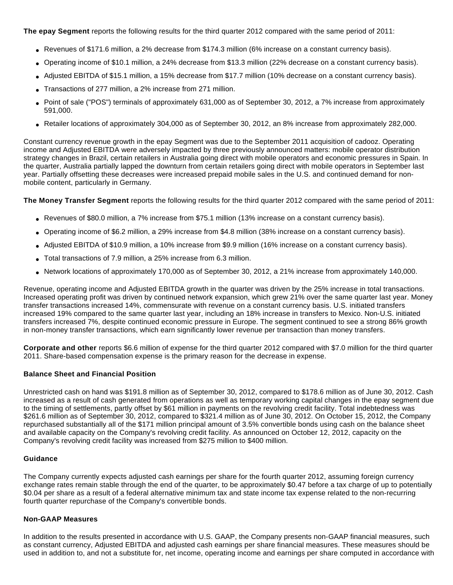**The epay Segment** reports the following results for the third quarter 2012 compared with the same period of 2011:

- Revenues of \$171.6 million, a 2% decrease from \$174.3 million (6% increase on a constant currency basis).
- Operating income of \$10.1 million, a 24% decrease from \$13.3 million (22% decrease on a constant currency basis).
- Adjusted EBITDA of \$15.1 million, a 15% decrease from \$17.7 million (10% decrease on a constant currency basis).
- Transactions of 277 million, a 2% increase from 271 million.
- Point of sale ("POS") terminals of approximately 631,000 as of September 30, 2012, a 7% increase from approximately 591,000.
- Retailer locations of approximately 304,000 as of September 30, 2012, an 8% increase from approximately 282,000.

Constant currency revenue growth in the epay Segment was due to the September 2011 acquisition of cadooz. Operating income and Adjusted EBITDA were adversely impacted by three previously announced matters: mobile operator distribution strategy changes in Brazil, certain retailers in Australia going direct with mobile operators and economic pressures in Spain. In the quarter, Australia partially lapped the downturn from certain retailers going direct with mobile operators in September last year. Partially offsetting these decreases were increased prepaid mobile sales in the U.S. and continued demand for nonmobile content, particularly in Germany.

**The Money Transfer Segment** reports the following results for the third quarter 2012 compared with the same period of 2011:

- Revenues of \$80.0 million, a 7% increase from \$75.1 million (13% increase on a constant currency basis).
- Operating income of \$6.2 million, a 29% increase from \$4.8 million (38% increase on a constant currency basis).
- Adjusted EBITDA of \$10.9 million, a 10% increase from \$9.9 million (16% increase on a constant currency basis).
- Total transactions of 7.9 million, a 25% increase from 6.3 million.
- Network locations of approximately 170,000 as of September 30, 2012, a 21% increase from approximately 140,000.

Revenue, operating income and Adjusted EBITDA growth in the quarter was driven by the 25% increase in total transactions. Increased operating profit was driven by continued network expansion, which grew 21% over the same quarter last year. Money transfer transactions increased 14%, commensurate with revenue on a constant currency basis. U.S. initiated transfers increased 19% compared to the same quarter last year, including an 18% increase in transfers to Mexico. Non-U.S. initiated transfers increased 7%, despite continued economic pressure in Europe. The segment continued to see a strong 86% growth in non-money transfer transactions, which earn significantly lower revenue per transaction than money transfers.

**Corporate and other** reports \$6.6 million of expense for the third quarter 2012 compared with \$7.0 million for the third quarter 2011. Share-based compensation expense is the primary reason for the decrease in expense.

#### **Balance Sheet and Financial Position**

Unrestricted cash on hand was \$191.8 million as of September 30, 2012, compared to \$178.6 million as of June 30, 2012. Cash increased as a result of cash generated from operations as well as temporary working capital changes in the epay segment due to the timing of settlements, partly offset by \$61 million in payments on the revolving credit facility. Total indebtedness was \$261.6 million as of September 30, 2012, compared to \$321.4 million as of June 30, 2012. On October 15, 2012, the Company repurchased substantially all of the \$171 million principal amount of 3.5% convertible bonds using cash on the balance sheet and available capacity on the Company's revolving credit facility. As announced on October 12, 2012, capacity on the Company's revolving credit facility was increased from \$275 million to \$400 million.

#### **Guidance**

The Company currently expects adjusted cash earnings per share for the fourth quarter 2012, assuming foreign currency exchange rates remain stable through the end of the quarter, to be approximately \$0.47 before a tax charge of up to potentially \$0.04 per share as a result of a federal alternative minimum tax and state income tax expense related to the non-recurring fourth quarter repurchase of the Company's convertible bonds.

#### **Non-GAAP Measures**

In addition to the results presented in accordance with U.S. GAAP, the Company presents non-GAAP financial measures, such as constant currency, Adjusted EBITDA and adjusted cash earnings per share financial measures. These measures should be used in addition to, and not a substitute for, net income, operating income and earnings per share computed in accordance with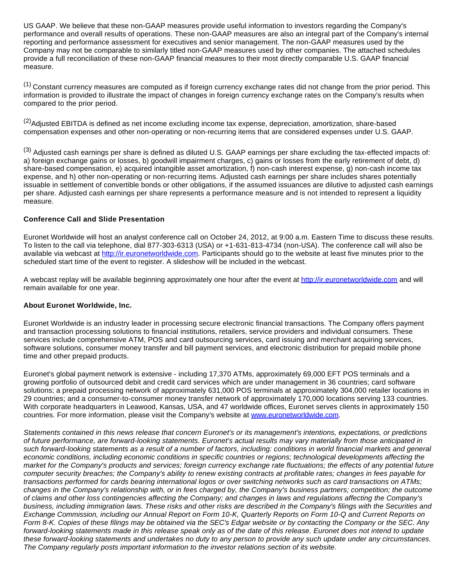US GAAP. We believe that these non-GAAP measures provide useful information to investors regarding the Company's performance and overall results of operations. These non-GAAP measures are also an integral part of the Company's internal reporting and performance assessment for executives and senior management. The non-GAAP measures used by the Company may not be comparable to similarly titled non-GAAP measures used by other companies. The attached schedules provide a full reconciliation of these non-GAAP financial measures to their most directly comparable U.S. GAAP financial measure.

<sup>(1)</sup> Constant currency measures are computed as if foreign currency exchange rates did not change from the prior period. This information is provided to illustrate the impact of changes in foreign currency exchange rates on the Company's results when compared to the prior period.

<sup>(2)</sup>Adjusted EBITDA is defined as net income excluding income tax expense, depreciation, amortization, share-based compensation expenses and other non-operating or non-recurring items that are considered expenses under U.S. GAAP.

(3) Adjusted cash earnings per share is defined as diluted U.S. GAAP earnings per share excluding the tax-effected impacts of: a) foreign exchange gains or losses, b) goodwill impairment charges, c) gains or losses from the early retirement of debt, d) share-based compensation, e) acquired intangible asset amortization, f) non-cash interest expense, g) non-cash income tax expense, and h) other non-operating or non-recurring items. Adjusted cash earnings per share includes shares potentially issuable in settlement of convertible bonds or other obligations, if the assumed issuances are dilutive to adjusted cash earnings per share. Adjusted cash earnings per share represents a performance measure and is not intended to represent a liquidity measure.

## **Conference Call and Slide Presentation**

Euronet Worldwide will host an analyst conference call on October 24, 2012, at 9:00 a.m. Eastern Time to discuss these results. To listen to the call via telephone, dial 877-303-6313 (USA) or +1-631-813-4734 (non-USA). The conference call will also be available via webcast at [http://ir.euronetworldwide.com.](http://cts.businesswire.com/ct/CT?id=smartlink&url=http%3A%2F%2Fir.euronetworldwide.com&esheet=50452212&lan=en-US&anchor=http%3A%2F%2Fir.euronetworldwide.com&index=1&md5=3ff6d93f1f011614194ddebc7da8c21a) Participants should go to the website at least five minutes prior to the scheduled start time of the event to register. A slideshow will be included in the webcast.

A webcast replay will be available beginning approximately one hour after the event at [http://ir.euronetworldwide.com](http://cts.businesswire.com/ct/CT?id=smartlink&url=http%3A%2F%2Fir.euronetworldwide.com&esheet=50452212&lan=en-US&anchor=http%3A%2F%2Fir.euronetworldwide.com&index=2&md5=b46470594a09308b59687483700ed7ad) and will remain available for one year.

#### **About Euronet Worldwide, Inc.**

Euronet Worldwide is an industry leader in processing secure electronic financial transactions. The Company offers payment and transaction processing solutions to financial institutions, retailers, service providers and individual consumers. These services include comprehensive ATM, POS and card outsourcing services, card issuing and merchant acquiring services, software solutions, consumer money transfer and bill payment services, and electronic distribution for prepaid mobile phone time and other prepaid products.

Euronet's global payment network is extensive - including 17,370 ATMs, approximately 69,000 EFT POS terminals and a growing portfolio of outsourced debit and credit card services which are under management in 36 countries; card software solutions; a prepaid processing network of approximately 631,000 POS terminals at approximately 304,000 retailer locations in 29 countries; and a consumer-to-consumer money transfer network of approximately 170,000 locations serving 133 countries. With corporate headquarters in Leawood, Kansas, USA, and 47 worldwide offices, Euronet serves clients in approximately 150 countries. For more information, please visit the Company's website at [www.euronetworldwide.com.](http://cts.businesswire.com/ct/CT?id=smartlink&url=http%3A%2F%2Fwww.euronetworldwide.com&esheet=50452212&lan=en-US&anchor=www.euronetworldwide.com&index=3&md5=253121dd714427e8a4a76d15a1be9af4)

Statements contained in this news release that concern Euronet's or its management's intentions, expectations, or predictions of future performance, are forward-looking statements. Euronet's actual results may vary materially from those anticipated in such forward-looking statements as a result of a number of factors, including: conditions in world financial markets and general economic conditions, including economic conditions in specific countries or regions; technological developments affecting the market for the Company's products and services; foreign currency exchange rate fluctuations; the effects of any potential future computer security breaches; the Company's ability to renew existing contracts at profitable rates; changes in fees payable for transactions performed for cards bearing international logos or over switching networks such as card transactions on ATMs; changes in the Company's relationship with, or in fees charged by, the Company's business partners; competition; the outcome of claims and other loss contingencies affecting the Company; and changes in laws and regulations affecting the Company's business, including immigration laws. These risks and other risks are described in the Company's filings with the Securities and Exchange Commission, including our Annual Report on Form 10-K, Quarterly Reports on Form 10-Q and Current Reports on Form 8-K. Copies of these filings may be obtained via the SEC's Edgar website or by contacting the Company or the SEC. Any forward-looking statements made in this release speak only as of the date of this release. Euronet does not intend to update these forward-looking statements and undertakes no duty to any person to provide any such update under any circumstances. The Company regularly posts important information to the investor relations section of its website.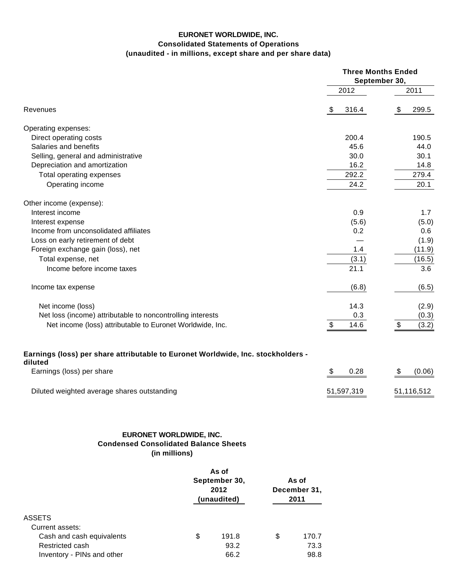## **EURONET WORLDWIDE, INC. Consolidated Statements of Operations (unaudited - in millions, except share and per share data)**

|                                                                                             |                     |                      | <b>Three Months Ended</b><br>September 30, |            |                                           |            |  |
|---------------------------------------------------------------------------------------------|---------------------|----------------------|--------------------------------------------|------------|-------------------------------------------|------------|--|
|                                                                                             |                     |                      |                                            | 2012       |                                           | 2011       |  |
| Revenues                                                                                    |                     |                      | \$                                         | 316.4      | \$                                        | 299.5      |  |
| Operating expenses:                                                                         |                     |                      |                                            |            |                                           |            |  |
| Direct operating costs                                                                      |                     |                      |                                            | 200.4      |                                           | 190.5      |  |
| Salaries and benefits                                                                       |                     |                      |                                            | 45.6       |                                           | 44.0       |  |
| Selling, general and administrative                                                         |                     |                      |                                            | 30.0       |                                           | 30.1       |  |
| Depreciation and amortization                                                               |                     |                      |                                            | 16.2       |                                           | 14.8       |  |
| Total operating expenses                                                                    |                     |                      |                                            | 292.2      |                                           | 279.4      |  |
| Operating income                                                                            |                     |                      |                                            | 24.2       |                                           | 20.1       |  |
| Other income (expense):                                                                     |                     |                      |                                            |            |                                           |            |  |
| Interest income                                                                             |                     |                      |                                            | 0.9        |                                           | 1.7        |  |
| Interest expense                                                                            |                     |                      |                                            | (5.6)      |                                           | (5.0)      |  |
| Income from unconsolidated affiliates                                                       |                     |                      |                                            | 0.2        |                                           | 0.6        |  |
| Loss on early retirement of debt                                                            |                     |                      |                                            |            |                                           | (1.9)      |  |
| Foreign exchange gain (loss), net                                                           |                     |                      |                                            | 1.4        |                                           | (11.9)     |  |
| Total expense, net                                                                          |                     |                      |                                            | (3.1)      |                                           | (16.5)     |  |
| Income before income taxes                                                                  |                     |                      |                                            | 21.1       |                                           | 3.6        |  |
| Income tax expense                                                                          |                     |                      |                                            | (6.8)      |                                           | (6.5)      |  |
| Net income (loss)                                                                           |                     |                      |                                            | 14.3       |                                           | (2.9)      |  |
| Net loss (income) attributable to noncontrolling interests                                  |                     |                      |                                            | 0.3        |                                           | (0.3)      |  |
| Net income (loss) attributable to Euronet Worldwide, Inc.                                   |                     |                      | \$                                         | 14.6       | $\, \, \raisebox{12pt}{$\scriptstyle \$}$ | (3.2)      |  |
| Earnings (loss) per share attributable to Euronet Worldwide, Inc. stockholders -<br>diluted |                     |                      |                                            |            |                                           |            |  |
| Earnings (loss) per share                                                                   |                     |                      | \$                                         | 0.28       | \$                                        | (0.06)     |  |
| Diluted weighted average shares outstanding                                                 |                     |                      |                                            | 51,597,319 |                                           | 51,116,512 |  |
|                                                                                             |                     |                      |                                            |            |                                           |            |  |
| EURONET WORLDWIDE, INC.<br><b>Condensed Consolidated Balance Sheets</b>                     |                     |                      |                                            |            |                                           |            |  |
| (in millions)                                                                               |                     |                      |                                            |            |                                           |            |  |
|                                                                                             | As of               |                      |                                            |            |                                           |            |  |
|                                                                                             | September 30,       | As of                |                                            |            |                                           |            |  |
|                                                                                             | 2012<br>(unaudited) | December 31,<br>2011 |                                            |            |                                           |            |  |
| <b>ASSETS</b>                                                                               |                     |                      |                                            |            |                                           |            |  |
| Current assets:                                                                             |                     |                      |                                            |            |                                           |            |  |
| Cash and cash equivalents                                                                   | \$<br>191.8         | \$<br>170.7          |                                            |            |                                           |            |  |

Restricted cash 63.2 73.3 Inventory - PINs and other 66.2 66.2 98.8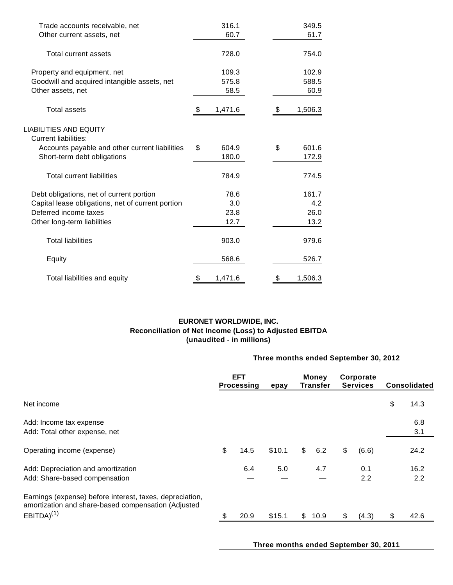| Trade accounts receivable, net                        | 316.1         |    | 349.5   |
|-------------------------------------------------------|---------------|----|---------|
| Other current assets, net                             | 60.7          |    | 61.7    |
| Total current assets                                  | 728.0         |    | 754.0   |
| Property and equipment, net                           | 109.3         |    | 102.9   |
| Goodwill and acquired intangible assets, net          | 575.8         |    | 588.5   |
| Other assets, net                                     | 58.5          |    | 60.9    |
| <b>Total assets</b>                                   | \$<br>1,471.6 | \$ | 1,506.3 |
| LIABILITIES AND EQUITY<br><b>Current liabilities:</b> |               |    |         |
| Accounts payable and other current liabilities        | \$<br>604.9   | \$ | 601.6   |
| Short-term debt obligations                           | 180.0         |    | 172.9   |
| <b>Total current liabilities</b>                      | 784.9         |    | 774.5   |
| Debt obligations, net of current portion              | 78.6          |    | 161.7   |
| Capital lease obligations, net of current portion     | 3.0           |    | 4.2     |
| Deferred income taxes                                 | 23.8          |    | 26.0    |
| Other long-term liabilities                           | 12.7          |    | 13.2    |
| <b>Total liabilities</b>                              | 903.0         |    | 979.6   |
| Equity                                                | 568.6         |    | 526.7   |
| Total liabilities and equity                          | \$<br>1,471.6 | \$ | 1,506.3 |

# **EURONET WORLDWIDE, INC. Reconciliation of Net Income (Loss) to Adjusted EBITDA (unaudited - in millions)**

|                                                                                                                                    | Three months ended September 30, 2012 |                                 |        |                          |      |                              |            |                     |             |  |  |
|------------------------------------------------------------------------------------------------------------------------------------|---------------------------------------|---------------------------------|--------|--------------------------|------|------------------------------|------------|---------------------|-------------|--|--|
|                                                                                                                                    |                                       | <b>EFT</b><br><b>Processing</b> |        | Money<br><b>Transfer</b> |      | Corporate<br><b>Services</b> |            | <b>Consolidated</b> |             |  |  |
| Net income                                                                                                                         |                                       |                                 |        |                          |      |                              |            | \$                  | 14.3        |  |  |
| Add: Income tax expense<br>Add: Total other expense, net                                                                           |                                       |                                 |        |                          |      |                              |            |                     | 6.8<br>3.1  |  |  |
| Operating income (expense)                                                                                                         | \$                                    | 14.5                            | \$10.1 | \$                       | 6.2  | \$                           | (6.6)      |                     | 24.2        |  |  |
| Add: Depreciation and amortization<br>Add: Share-based compensation                                                                |                                       | 6.4                             | 5.0    |                          | 4.7  |                              | 0.1<br>2.2 |                     | 16.2<br>2.2 |  |  |
| Earnings (expense) before interest, taxes, depreciation,<br>amortization and share-based compensation (Adjusted<br>$EBITDA)^{(1)}$ |                                       | 20.9                            | \$15.1 | $\mathfrak{S}$           | 10.9 | \$                           | (4.3)      | \$                  | 42.6        |  |  |

**Three months ended September 30, 2011**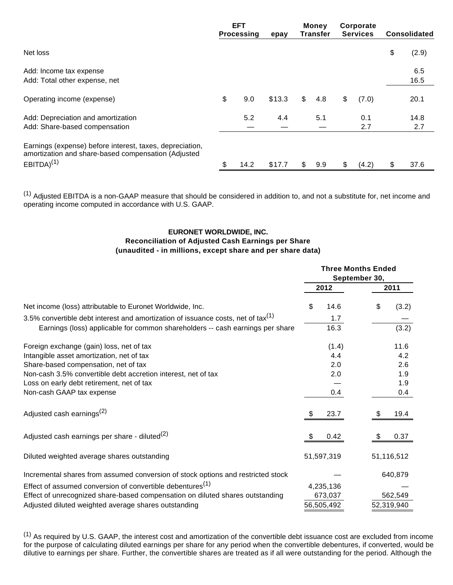|                                                                                                                                    | <b>EFT</b><br><b>Processing</b> | epay   | <b>Money</b><br>Transfer | Corporate<br><b>Services</b> | <b>Consolidated</b> |
|------------------------------------------------------------------------------------------------------------------------------------|---------------------------------|--------|--------------------------|------------------------------|---------------------|
| Net loss                                                                                                                           |                                 |        |                          |                              | \$<br>(2.9)         |
| Add: Income tax expense<br>Add: Total other expense, net                                                                           |                                 |        |                          |                              | 6.5<br>16.5         |
| Operating income (expense)                                                                                                         | \$<br>9.0                       | \$13.3 | \$<br>4.8                | \$<br>(7.0)                  | 20.1                |
| Add: Depreciation and amortization<br>Add: Share-based compensation                                                                | 5.2                             | 4.4    | 5.1                      | 0.1<br>2.7                   | 14.8<br>2.7         |
| Earnings (expense) before interest, taxes, depreciation,<br>amortization and share-based compensation (Adjusted<br>$EBITDA)^{(1)}$ | \$<br>14.2                      | \$17.7 | \$<br>9.9                | \$<br>(4.2)                  | \$<br>37.6          |

 $<sup>(1)</sup>$  Adjusted EBITDA is a non-GAAP measure that should be considered in addition to, and not a substitute for, net income and</sup> operating income computed in accordance with U.S. GAAP.

## **EURONET WORLDWIDE, INC. Reconciliation of Adjusted Cash Earnings per Share (unaudited - in millions, except share and per share data)**

|                                                                                              |            | September 30, | <b>Three Months Ended</b> |            |  |  |
|----------------------------------------------------------------------------------------------|------------|---------------|---------------------------|------------|--|--|
|                                                                                              | 2012       |               | 2011                      |            |  |  |
| Net income (loss) attributable to Euronet Worldwide, Inc.                                    | \$<br>14.6 |               | \$                        | (3.2)      |  |  |
| 3.5% convertible debt interest and amortization of issuance costs, net of tax <sup>(1)</sup> | 1.7        |               |                           |            |  |  |
| Earnings (loss) applicable for common shareholders -- cash earnings per share                | 16.3       |               |                           | (3.2)      |  |  |
| Foreign exchange (gain) loss, net of tax                                                     | (1.4)      |               |                           | 11.6       |  |  |
| Intangible asset amortization, net of tax                                                    | 4.4        |               |                           | 4.2        |  |  |
| Share-based compensation, net of tax                                                         | 2.0        |               |                           | 2.6        |  |  |
| Non-cash 3.5% convertible debt accretion interest, net of tax                                | 2.0        |               |                           | 1.9        |  |  |
| Loss on early debt retirement, net of tax                                                    |            |               |                           | 1.9        |  |  |
| Non-cash GAAP tax expense                                                                    | 0.4        |               |                           | 0.4        |  |  |
| Adjusted cash earnings <sup>(2)</sup>                                                        | \$<br>23.7 |               | S                         | 19.4       |  |  |
| Adjusted cash earnings per share - diluted $(2)$                                             | 0.42       |               |                           | 0.37       |  |  |
| Diluted weighted average shares outstanding                                                  | 51,597,319 |               |                           | 51,116,512 |  |  |
| Incremental shares from assumed conversion of stock options and restricted stock             |            |               |                           | 640,879    |  |  |
| Effect of assumed conversion of convertible debentures <sup>(1)</sup>                        | 4,235,136  |               |                           |            |  |  |
| Effect of unrecognized share-based compensation on diluted shares outstanding                | 673,037    |               |                           | 562,549    |  |  |
| Adjusted diluted weighted average shares outstanding                                         | 56,505,492 |               |                           | 52,319,940 |  |  |

 $^{(1)}$  As required by U.S. GAAP, the interest cost and amortization of the convertible debt issuance cost are excluded from income for the purpose of calculating diluted earnings per share for any period when the convertible debentures, if converted, would be dilutive to earnings per share. Further, the convertible shares are treated as if all were outstanding for the period. Although the